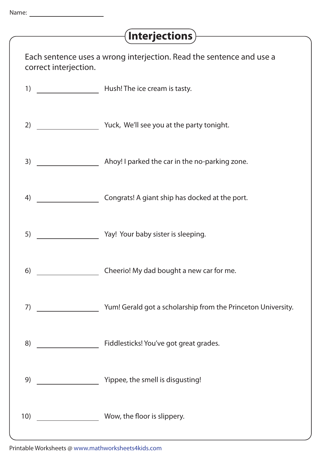## **Interjections**

| Each sentence uses a wrong interjection. Read the sentence and use a<br>correct interjection. |                                                              |
|-----------------------------------------------------------------------------------------------|--------------------------------------------------------------|
| 1)                                                                                            | <b>Mush!</b> The ice cream is tasty.                         |
| 2)                                                                                            | Vuck, We'll see you at the party tonight.                    |
| 3)                                                                                            | Ahoy! I parked the car in the no-parking zone.               |
| 4)                                                                                            | Congrats! A giant ship has docked at the port.               |
| 5)                                                                                            | May! Your baby sister is sleeping.                           |
| 6)                                                                                            | Cheerio! My dad bought a new car for me.                     |
| 7)                                                                                            | Yum! Gerald got a scholarship from the Princeton University. |
| 8)                                                                                            | <b>Example 3 Fiddlesticks! You've got great grades.</b>      |
| 9)                                                                                            | Vippee, the smell is disgusting!                             |
| 10)                                                                                           | Wow, the floor is slippery.                                  |